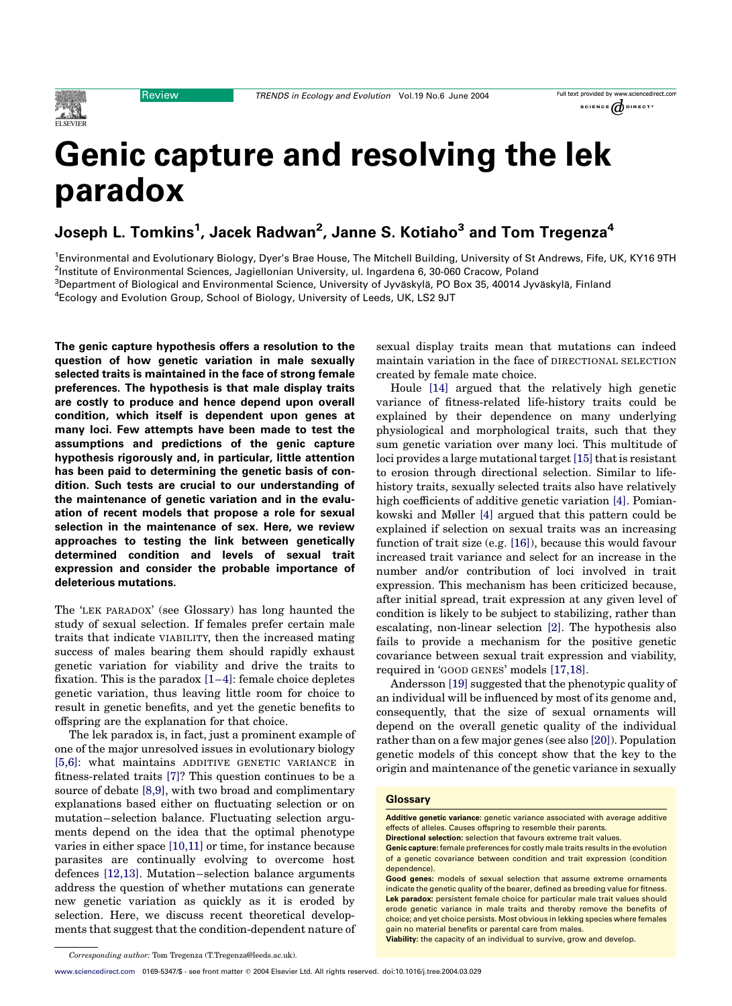

## Full text provided by www.sciencedirect.com SCIENCE  $\omega$  DIRECT'

# Genic capture and resolving the lek paradox

Joseph L. Tomkins<sup>1</sup>, Jacek Radwan<sup>2</sup>, Janne S. Kotiaho $^3$  and Tom Tregenza $^4$ 

<sup>1</sup>Environmental and Evolutionary Biology, Dyer's Brae House, The Mitchell Building, University of St Andrews, Fife, UK, KY16 9TH 2 Institute of Environmental Sciences, Jagiellonian University, ul. Ingardena 6, 30-060 Cracow, Poland

 $^3$ Department of Biological and Environmental Science, University of Jyväskylä, PO Box 35, 40014 Jyväskylä, Finland

<sup>4</sup>Ecology and Evolution Group, School of Biology, University of Leeds, UK, LS2 9JT

The genic capture hypothesis offers a resolution to the question of how genetic variation in male sexually selected traits is maintained in the face of strong female preferences. The hypothesis is that male display traits are costly to produce and hence depend upon overall condition, which itself is dependent upon genes at many loci. Few attempts have been made to test the assumptions and predictions of the genic capture hypothesis rigorously and, in particular, little attention has been paid to determining the genetic basis of condition. Such tests are crucial to our understanding of the maintenance of genetic variation and in the evaluation of recent models that propose a role for sexual selection in the maintenance of sex. Here, we review approaches to testing the link between genetically determined condition and levels of sexual trait expression and consider the probable importance of deleterious mutations.

The 'LEK PARADOX' (see Glossary) has long haunted the study of sexual selection. If females prefer certain male traits that indicate VIABILITY, then the increased mating success of males bearing them should rapidly exhaust genetic variation for viability and drive the traits to fixation. This is the paradox  $[1-4]$ : female choice depletes genetic variation, thus leaving little room for choice to result in genetic benefits, and yet the genetic benefits to offspring are the explanation for that choice.

The lek paradox is, in fact, just a prominent example of one of the major unresolved issues in evolutionary biology [\[5,6\]](#page-4-0): what maintains ADDITIVE GENETIC VARIANCE in fitness-related traits [\[7\]?](#page-4-0) This question continues to be a source of debate [\[8,9\]](#page-4-0), with two broad and complimentary explanations based either on fluctuating selection or on mutation–selection balance. Fluctuating selection arguments depend on the idea that the optimal phenotype varies in either space [\[10,11\]](#page-4-0) or time, for instance because parasites are continually evolving to overcome host defences [\[12,13\].](#page-4-0) Mutation–selection balance arguments address the question of whether mutations can generate new genetic variation as quickly as it is eroded by selection. Here, we discuss recent theoretical developments that suggest that the condition-dependent nature of sexual display traits mean that mutations can indeed maintain variation in the face of DIRECTIONAL SELECTION created by female mate choice.

Houle [\[14\]](#page-4-0) argued that the relatively high genetic variance of fitness-related life-history traits could be explained by their dependence on many underlying physiological and morphological traits, such that they sum genetic variation over many loci. This multitude of  $loci$  provides a large mutational target  $[15]$  that is resistant to erosion through directional selection. Similar to lifehistory traits, sexually selected traits also have relatively high coefficients of additive genetic variation [\[4\]](#page-4-0). Pomiankowski and Møller [\[4\]](#page-4-0) argued that this pattern could be explained if selection on sexual traits was an increasing function of trait size (e.g. [\[16\]\)](#page-4-0), because this would favour increased trait variance and select for an increase in the number and/or contribution of loci involved in trait expression. This mechanism has been criticized because, after initial spread, trait expression at any given level of condition is likely to be subject to stabilizing, rather than escalating, non-linear selection [\[2\].](#page-4-0) The hypothesis also fails to provide a mechanism for the positive genetic covariance between sexual trait expression and viability, required in 'GOOD GENES' models [\[17,18\]](#page-4-0).

Andersson [\[19\]](#page-4-0) suggested that the phenotypic quality of an individual will be influenced by most of its genome and, consequently, that the size of sexual ornaments will depend on the overall genetic quality of the individual rather than on a few major genes (see also [\[20\]\)](#page-4-0). Population genetic models of this concept show that the key to the origin and maintenance of the genetic variance in sexually

#### **Glossary**

Directional selection: selection that favours extreme trait values.

Viability: the capacity of an individual to survive, grow and develop.

Additive genetic variance: genetic variance associated with average additive effects of alleles. Causes offspring to resemble their parents.

Genic capture: female preferences for costly male traits results in the evolution of a genetic covariance between condition and trait expression (condition dependence).

Good genes: models of sexual selection that assume extreme ornaments indicate the genetic quality of the bearer, defined as breeding value for fitness. Lek paradox: persistent female choice for particular male trait values should erode genetic variance in male traits and thereby remove the benefits of choice; and yet choice persists. Most obvious in lekking species where females gain no material benefits or parental care from males.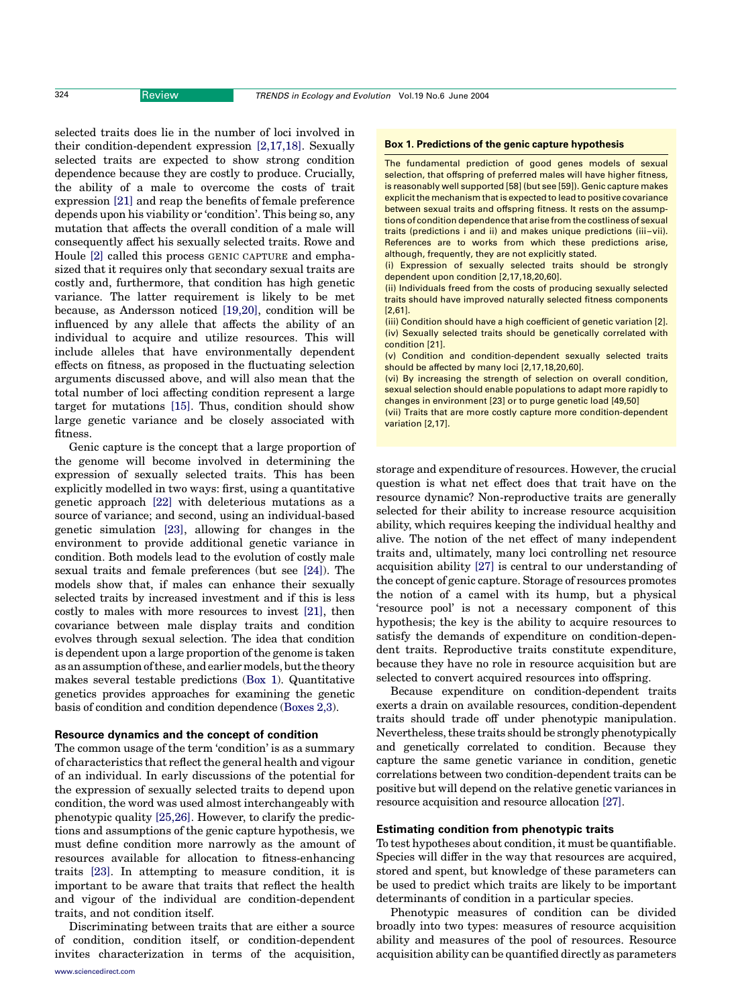selected traits does lie in the number of loci involved in their condition-dependent expression [\[2,17,18\]](#page-4-0). Sexually selected traits are expected to show strong condition dependence because they are costly to produce. Crucially, the ability of a male to overcome the costs of trait expression [\[21\]](#page-4-0) and reap the benefits of female preference depends upon his viability or 'condition'. This being so, any mutation that affects the overall condition of a male will consequently affect his sexually selected traits. Rowe and Houle [\[2\]](#page-4-0) called this process GENIC CAPTURE and emphasized that it requires only that secondary sexual traits are costly and, furthermore, that condition has high genetic variance. The latter requirement is likely to be met because, as Andersson noticed [\[19,20\],](#page-4-0) condition will be influenced by any allele that affects the ability of an individual to acquire and utilize resources. This will include alleles that have environmentally dependent effects on fitness, as proposed in the fluctuating selection arguments discussed above, and will also mean that the total number of loci affecting condition represent a large target for mutations [\[15\]](#page-4-0). Thus, condition should show large genetic variance and be closely associated with fitness.

Genic capture is the concept that a large proportion of the genome will become involved in determining the expression of sexually selected traits. This has been explicitly modelled in two ways: first, using a quantitative genetic approach [\[22\]](#page-4-0) with deleterious mutations as a source of variance; and second, using an individual-based genetic simulation [\[23\],](#page-4-0) allowing for changes in the environment to provide additional genetic variance in condition. Both models lead to the evolution of costly male sexual traits and female preferences (but see [\[24\]](#page-4-0)). The models show that, if males can enhance their sexually selected traits by increased investment and if this is less costly to males with more resources to invest [\[21\]](#page-4-0), then covariance between male display traits and condition evolves through sexual selection. The idea that condition is dependent upon a large proportion of the genome is taken as an assumption of these, and earlier models, but the theory makes several testable predictions (Box 1). Quantitative genetics provides approaches for examining the genetic basis of condition and condition dependence ([Boxes 2,3\)](#page-2-0).

# Resource dynamics and the concept of condition

The common usage of the term 'condition' is as a summary of characteristics that reflect the general health and vigour of an individual. In early discussions of the potential for the expression of sexually selected traits to depend upon condition, the word was used almost interchangeably with phenotypic quality [\[25,26\].](#page-4-0) However, to clarify the predictions and assumptions of the genic capture hypothesis, we must define condition more narrowly as the amount of resources available for allocation to fitness-enhancing traits [\[23\]](#page-4-0). In attempting to measure condition, it is important to be aware that traits that reflect the health and vigour of the individual are condition-dependent traits, and not condition itself.

Discriminating between traits that are either a source of condition, condition itself, or condition-dependent invites characterization in terms of the acquisition,

#### Box 1. Predictions of the genic capture hypothesis

The fundamental prediction of good genes models of sexual selection, that offspring of preferred males will have higher fitness. is reasonably well supported [58] (but see [59]). Genic capture makes explicit the mechanism that is expected to lead to positive covariance between sexual traits and offspring fitness. It rests on the assumptions of condition dependence that arise from the costliness of sexual traits (predictions i and ii) and makes unique predictions (iii–vii). References are to works from which these predictions arise, although, frequently, they are not explicitly stated.

(i) Expression of sexually selected traits should be strongly dependent upon condition [2,17,18,20,60].

(ii) Individuals freed from the costs of producing sexually selected traits should have improved naturally selected fitness components [2,61].

(iii) Condition should have a high coefficient of genetic variation [2]. (iv) Sexually selected traits should be genetically correlated with condition [21].

(v) Condition and condition-dependent sexually selected traits should be affected by many loci [2,17,18,20,60].

(vi) By increasing the strength of selection on overall condition, sexual selection should enable populations to adapt more rapidly to changes in environment [23] or to purge genetic load [49,50]

(vii) Traits that are more costly capture more condition-dependent variation [2,17].

storage and expenditure of resources. However, the crucial question is what net effect does that trait have on the resource dynamic? Non-reproductive traits are generally selected for their ability to increase resource acquisition ability, which requires keeping the individual healthy and alive. The notion of the net effect of many independent traits and, ultimately, many loci controlling net resource acquisition ability [\[27\]](#page-4-0) is central to our understanding of the concept of genic capture. Storage of resources promotes the notion of a camel with its hump, but a physical 'resource pool' is not a necessary component of this hypothesis; the key is the ability to acquire resources to satisfy the demands of expenditure on condition-dependent traits. Reproductive traits constitute expenditure, because they have no role in resource acquisition but are selected to convert acquired resources into offspring.

Because expenditure on condition-dependent traits exerts a drain on available resources, condition-dependent traits should trade off under phenotypic manipulation. Nevertheless, these traits should be strongly phenotypically and genetically correlated to condition. Because they capture the same genetic variance in condition, genetic correlations between two condition-dependent traits can be positive but will depend on the relative genetic variances in resource acquisition and resource allocation [\[27\]](#page-4-0).

# Estimating condition from phenotypic traits

To test hypotheses about condition, it must be quantifiable. Species will differ in the way that resources are acquired, stored and spent, but knowledge of these parameters can be used to predict which traits are likely to be important determinants of condition in a particular species.

Phenotypic measures of condition can be divided broadly into two types: measures of resource acquisition ability and measures of the pool of resources. Resource acquisition ability can be quantified directly as parameters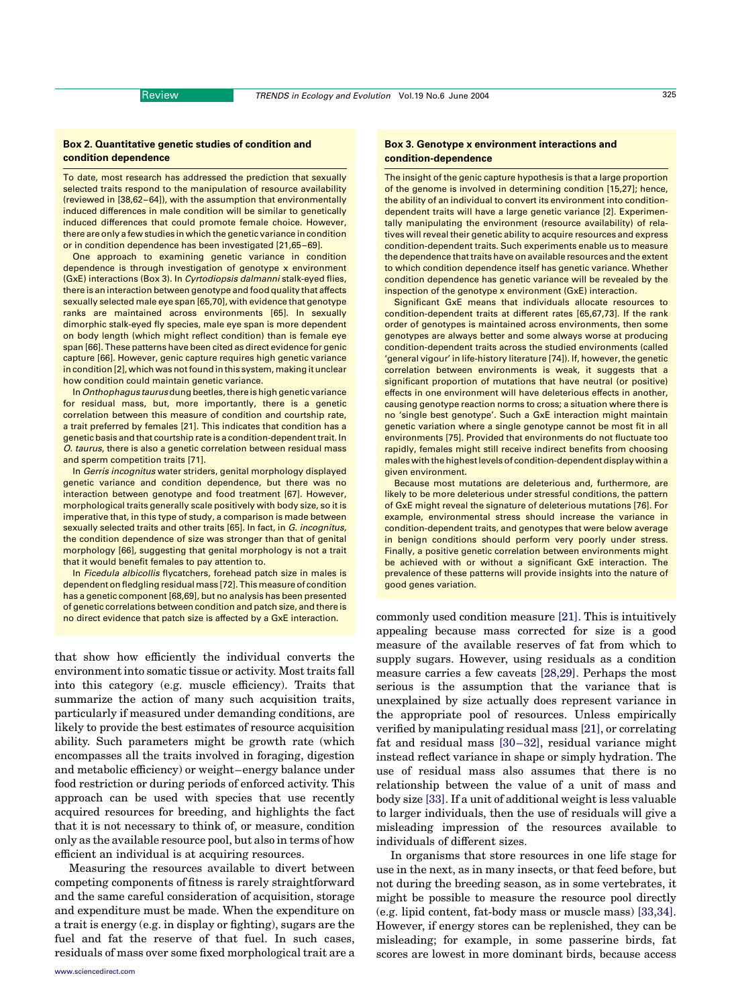## <span id="page-2-0"></span>Box 2. Quantitative genetic studies of condition and condition dependence

To date, most research has addressed the prediction that sexually selected traits respond to the manipulation of resource availability (reviewed in [38,62–64]), with the assumption that environmentally induced differences in male condition will be similar to genetically induced differences that could promote female choice. However, there are only a few studies in which the genetic variance in condition or in condition dependence has been investigated [21,65–69].

One approach to examining genetic variance in condition dependence is through investigation of genotype x environment (GxE) interactions (Box 3). In Cyrtodiopsis dalmanni stalk-eyed flies, there is an interaction between genotype and food quality that affects sexually selected male eye span [65,70], with evidence that genotype ranks are maintained across environments [65]. In sexually dimorphic stalk-eyed fly species, male eye span is more dependent on body length (which might reflect condition) than is female eye span [66]. These patterns have been cited as direct evidence for genic capture [66]. However, genic capture requires high genetic variance in condition [2], which was not found in this system, making it unclear how condition could maintain genetic variance.

In Onthophagus taurus dung beetles, there is high genetic variance for residual mass, but, more importantly, there is a genetic correlation between this measure of condition and courtship rate, a trait preferred by females [21]. This indicates that condition has a genetic basis and that courtship rate is a condition-dependent trait. In O. taurus, there is also a genetic correlation between residual mass and sperm competition traits [71].

In Gerris incognitus water striders, genital morphology displayed genetic variance and condition dependence, but there was no interaction between genotype and food treatment [67]. However, morphological traits generally scale positively with body size, so it is imperative that, in this type of study, a comparison is made between sexually selected traits and other traits [65]. In fact, in G. incognitus, the condition dependence of size was stronger than that of genital morphology [66], suggesting that genital morphology is not a trait that it would benefit females to pay attention to.

In Ficedula albicollis flycatchers, forehead patch size in males is dependent on fledgling residual mass [72]. This measure of condition has a genetic component [68,69], but no analysis has been presented of genetic correlations between condition and patch size, and there is no direct evidence that patch size is affected by a GxE interaction.

that show how efficiently the individual converts the environment into somatic tissue or activity. Most traits fall into this category (e.g. muscle efficiency). Traits that summarize the action of many such acquisition traits, particularly if measured under demanding conditions, are likely to provide the best estimates of resource acquisition ability. Such parameters might be growth rate (which encompasses all the traits involved in foraging, digestion and metabolic efficiency) or weight–energy balance under food restriction or during periods of enforced activity. This approach can be used with species that use recently acquired resources for breeding, and highlights the fact that it is not necessary to think of, or measure, condition only as the available resource pool, but also in terms of how efficient an individual is at acquiring resources.

Measuring the resources available to divert between competing components of fitness is rarely straightforward and the same careful consideration of acquisition, storage and expenditure must be made. When the expenditure on a trait is energy (e.g. in display or fighting), sugars are the fuel and fat the reserve of that fuel. In such cases, residuals of mass over some fixed morphological trait are a

# Box 3. Genotype x environment interactions and condition-dependence

The insight of the genic capture hypothesis is that a large proportion of the genome is involved in determining condition [15,27]; hence, the ability of an individual to convert its environment into conditiondependent traits will have a large genetic variance [2]. Experimentally manipulating the environment (resource availability) of relatives will reveal their genetic ability to acquire resources and express condition-dependent traits. Such experiments enable us to measure the dependence that traits have on available resources and the extent to which condition dependence itself has genetic variance. Whether condition dependence has genetic variance will be revealed by the inspection of the genotype x environment (GxE) interaction.

Significant GxE means that individuals allocate resources to condition-dependent traits at different rates [65,67,73]. If the rank order of genotypes is maintained across environments, then some genotypes are always better and some always worse at producing condition-dependent traits across the studied environments (called 'general vigour' in life-history literature [74]). If, however, the genetic correlation between environments is weak, it suggests that a significant proportion of mutations that have neutral (or positive) effects in one environment will have deleterious effects in another, causing genotype reaction norms to cross; a situation where there is no 'single best genotype'. Such a GxE interaction might maintain genetic variation where a single genotype cannot be most fit in all environments [75]. Provided that environments do not fluctuate too rapidly, females might still receive indirect benefits from choosing males with the highest levels of condition-dependent display within a given environment.

Because most mutations are deleterious and, furthermore, are likely to be more deleterious under stressful conditions, the pattern of GxE might reveal the signature of deleterious mutations [76]. For example, environmental stress should increase the variance in condition-dependent traits, and genotypes that were below average in benign conditions should perform very poorly under stress. Finally, a positive genetic correlation between environments might be achieved with or without a significant GxE interaction. The prevalence of these patterns will provide insights into the nature of good genes variation.

commonly used condition measure [\[21\].](#page-4-0) This is intuitively appealing because mass corrected for size is a good measure of the available reserves of fat from which to supply sugars. However, using residuals as a condition measure carries a few caveats [\[28,29\].](#page-4-0) Perhaps the most serious is the assumption that the variance that is unexplained by size actually does represent variance in the appropriate pool of resources. Unless empirically verified by manipulating residual mass [\[21\]](#page-4-0), or correlating fat and residual mass [\[30–32\],](#page-4-0) residual variance might instead reflect variance in shape or simply hydration. The use of residual mass also assumes that there is no relationship between the value of a unit of mass and body size [\[33\].](#page-4-0) If a unit of additional weight is less valuable to larger individuals, then the use of residuals will give a misleading impression of the resources available to individuals of different sizes.

In organisms that store resources in one life stage for use in the next, as in many insects, or that feed before, but not during the breeding season, as in some vertebrates, it might be possible to measure the resource pool directly (e.g. lipid content, fat-body mass or muscle mass) [\[33,34\]](#page-4-0). However, if energy stores can be replenished, they can be misleading; for example, in some passerine birds, fat scores are lowest in more dominant birds, because access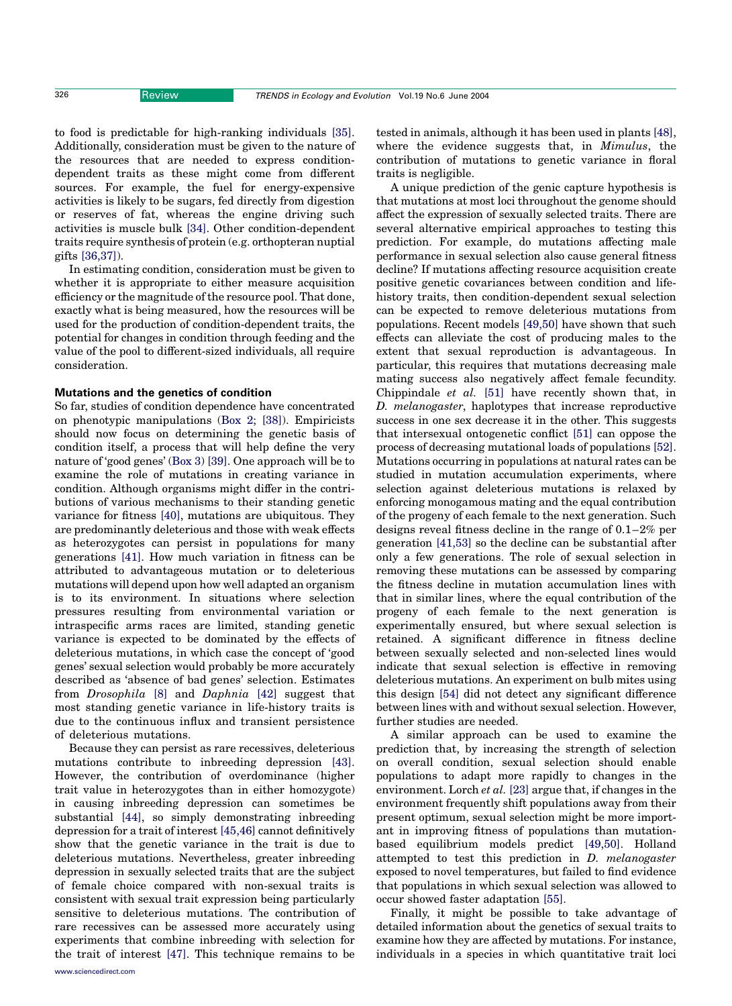to food is predictable for high-ranking individuals [\[35\]](#page-4-0). Additionally, consideration must be given to the nature of the resources that are needed to express conditiondependent traits as these might come from different sources. For example, the fuel for energy-expensive activities is likely to be sugars, fed directly from digestion or reserves of fat, whereas the engine driving such activities is muscle bulk [\[34\].](#page-4-0) Other condition-dependent traits require synthesis of protein (e.g. orthopteran nuptial gifts [\[36,37\]\)](#page-4-0).

In estimating condition, consideration must be given to whether it is appropriate to either measure acquisition efficiency or the magnitude of the resource pool. That done, exactly what is being measured, how the resources will be used for the production of condition-dependent traits, the potential for changes in condition through feeding and the value of the pool to different-sized individuals, all require consideration.

## Mutations and the genetics of condition

So far, studies of condition dependence have concentrated on phenotypic manipulations [\(Box 2;](#page-2-0) [\[38\]](#page-4-0)). Empiricists should now focus on determining the genetic basis of condition itself, a process that will help define the very nature of 'good genes' ([Box 3](#page-2-0)) [\[39\]](#page-4-0). One approach will be to examine the role of mutations in creating variance in condition. Although organisms might differ in the contributions of various mechanisms to their standing genetic variance for fitness [\[40\],](#page-4-0) mutations are ubiquitous. They are predominantly deleterious and those with weak effects as heterozygotes can persist in populations for many generations [\[41\]](#page-4-0). How much variation in fitness can be attributed to advantageous mutation or to deleterious mutations will depend upon how well adapted an organism is to its environment. In situations where selection pressures resulting from environmental variation or intraspecific arms races are limited, standing genetic variance is expected to be dominated by the effects of deleterious mutations, in which case the concept of 'good genes' sexual selection would probably be more accurately described as 'absence of bad genes' selection. Estimates from Drosophila [\[8\]](#page-4-0) and Daphnia [\[42\]](#page-4-0) suggest that most standing genetic variance in life-history traits is due to the continuous influx and transient persistence of deleterious mutations.

Because they can persist as rare recessives, deleterious mutations contribute to inbreeding depression [\[43\]](#page-5-0). However, the contribution of overdominance (higher trait value in heterozygotes than in either homozygote) in causing inbreeding depression can sometimes be substantial [\[44\]](#page-5-0), so simply demonstrating inbreeding depression for a trait of interest [\[45,46\]](#page-5-0) cannot definitively show that the genetic variance in the trait is due to deleterious mutations. Nevertheless, greater inbreeding depression in sexually selected traits that are the subject of female choice compared with non-sexual traits is consistent with sexual trait expression being particularly sensitive to deleterious mutations. The contribution of rare recessives can be assessed more accurately using experiments that combine inbreeding with selection for the trait of interest [\[47\].](#page-5-0) This technique remains to be

A unique prediction of the genic capture hypothesis is that mutations at most loci throughout the genome should affect the expression of sexually selected traits. There are several alternative empirical approaches to testing this prediction. For example, do mutations affecting male performance in sexual selection also cause general fitness decline? If mutations affecting resource acquisition create positive genetic covariances between condition and lifehistory traits, then condition-dependent sexual selection can be expected to remove deleterious mutations from populations. Recent models [\[49,50\]](#page-5-0) have shown that such effects can alleviate the cost of producing males to the extent that sexual reproduction is advantageous. In particular, this requires that mutations decreasing male mating success also negatively affect female fecundity. Chippindale et al. [\[51\]](#page-5-0) have recently shown that, in D. melanogaster, haplotypes that increase reproductive success in one sex decrease it in the other. This suggests that intersexual ontogenetic conflict [\[51\]](#page-5-0) can oppose the process of decreasing mutational loads of populations [\[52\]](#page-5-0). Mutations occurring in populations at natural rates can be studied in mutation accumulation experiments, where selection against deleterious mutations is relaxed by enforcing monogamous mating and the equal contribution of the progeny of each female to the next generation. Such designs reveal fitness decline in the range of 0.1–2% per generation [\[41,53\]](#page-4-0) so the decline can be substantial after only a few generations. The role of sexual selection in removing these mutations can be assessed by comparing the fitness decline in mutation accumulation lines with that in similar lines, where the equal contribution of the progeny of each female to the next generation is experimentally ensured, but where sexual selection is retained. A significant difference in fitness decline between sexually selected and non-selected lines would indicate that sexual selection is effective in removing deleterious mutations. An experiment on bulb mites using this design [\[54\]](#page-5-0) did not detect any significant difference between lines with and without sexual selection. However, further studies are needed.

A similar approach can be used to examine the prediction that, by increasing the strength of selection on overall condition, sexual selection should enable populations to adapt more rapidly to changes in the environment. Lorch et al. [\[23\]](#page-4-0) argue that, if changes in the environment frequently shift populations away from their present optimum, sexual selection might be more important in improving fitness of populations than mutationbased equilibrium models predict [\[49,50\]](#page-5-0). Holland attempted to test this prediction in D. melanogaster exposed to novel temperatures, but failed to find evidence that populations in which sexual selection was allowed to occur showed faster adaptation [\[55\]](#page-5-0).

Finally, it might be possible to take advantage of detailed information about the genetics of sexual traits to examine how they are affected by mutations. For instance, individuals in a species in which quantitative trait loci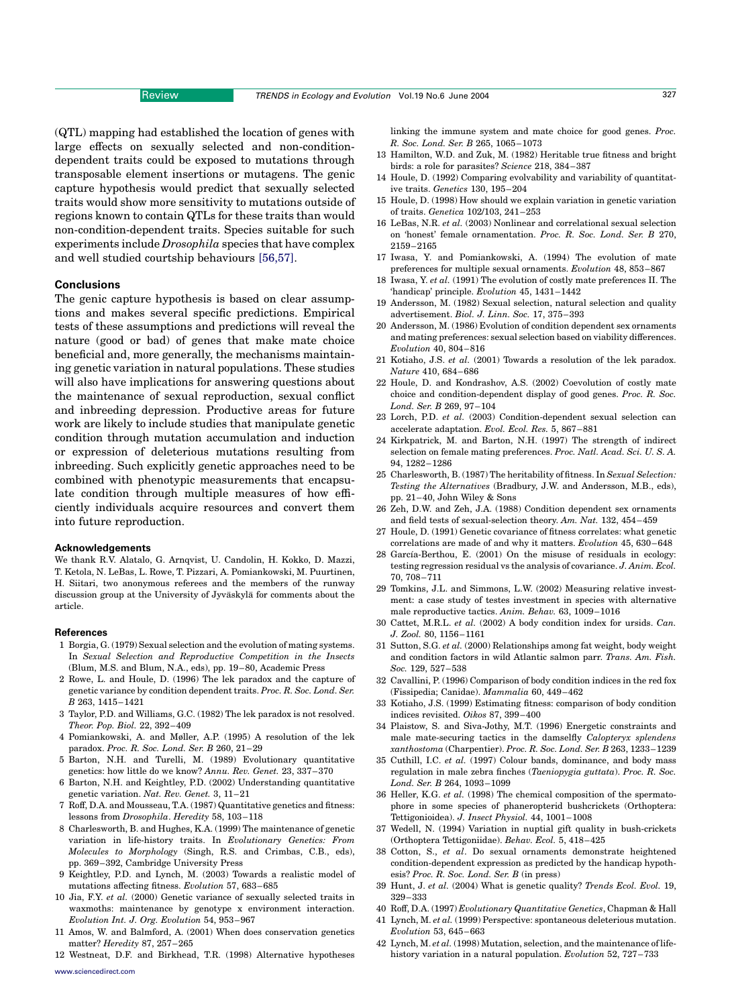<span id="page-4-0"></span>(QTL) mapping had established the location of genes with large effects on sexually selected and non-conditiondependent traits could be exposed to mutations through transposable element insertions or mutagens. The genic capture hypothesis would predict that sexually selected traits would show more sensitivity to mutations outside of regions known to contain QTLs for these traits than would non-condition-dependent traits. Species suitable for such experiments include Drosophila species that have complex and well studied courtship behaviours [\[56,57\]](#page-5-0).

## **Conclusions**

The genic capture hypothesis is based on clear assumptions and makes several specific predictions. Empirical tests of these assumptions and predictions will reveal the nature (good or bad) of genes that make mate choice beneficial and, more generally, the mechanisms maintaining genetic variation in natural populations. These studies will also have implications for answering questions about the maintenance of sexual reproduction, sexual conflict and inbreeding depression. Productive areas for future work are likely to include studies that manipulate genetic condition through mutation accumulation and induction or expression of deleterious mutations resulting from inbreeding. Such explicitly genetic approaches need to be combined with phenotypic measurements that encapsulate condition through multiple measures of how efficiently individuals acquire resources and convert them into future reproduction.

#### Acknowledgements

We thank R.V. Alatalo, G. Arnqvist, U. Candolin, H. Kokko, D. Mazzi, T. Ketola, N. LeBas, L. Rowe, T. Pizzari, A. Pomiankowski, M. Puurtinen, H. Siitari, two anonymous referees and the members of the runway discussion group at the University of Jyväskylä for comments about the article.

#### References

- 1 Borgia, G. (1979) Sexual selection and the evolution of mating systems. In Sexual Selection and Reproductive Competition in the Insects (Blum, M.S. and Blum, N.A., eds), pp. 19–80, Academic Press
- 2 Rowe, L. and Houle, D. (1996) The lek paradox and the capture of genetic variance by condition dependent traits. Proc. R. Soc. Lond. Ser. B 263, 1415–1421
- 3 Taylor, P.D. and Williams, G.C. (1982) The lek paradox is not resolved. Theor. Pop. Biol. 22, 392–409
- 4 Pomiankowski, A. and Møller, A.P. (1995) A resolution of the lek paradox. Proc. R. Soc. Lond. Ser. B 260, 21–29
- 5 Barton, N.H. and Turelli, M. (1989) Evolutionary quantitative genetics: how little do we know? Annu. Rev. Genet. 23, 337–370
- 6 Barton, N.H. and Keightley, P.D. (2002) Understanding quantitative genetic variation. Nat. Rev. Genet. 3, 11–21
- 7 Roff, D.A. and Mousseau, T.A. (1987) Quantitative genetics and fitness: lessons from Drosophila. Heredity 58, 103–118
- 8 Charlesworth, B. and Hughes, K.A. (1999) The maintenance of genetic variation in life-history traits. In Evolutionary Genetics: From Molecules to Morphology (Singh, R.S. and Crimbas, C.B., eds), pp. 369–392, Cambridge University Press
- 9 Keightley, P.D. and Lynch, M. (2003) Towards a realistic model of mutations affecting fitness. Evolution 57, 683–685
- 10 Jia, F.Y. et al. (2000) Genetic variance of sexually selected traits in waxmoths: maintenance by genotype x environment interaction. Evolution Int. J. Org. Evolution 54, 953–967
- 11 Amos, W. and Balmford, A. (2001) When does conservation genetics matter? Heredity 87, 257–265
- 12 Westneat, D.F. and Birkhead, T.R. (1998) Alternative hypotheses

linking the immune system and mate choice for good genes. Proc. R. Soc. Lond. Ser. B 265, 1065–1073

- 13 Hamilton, W.D. and Zuk, M. (1982) Heritable true fitness and bright birds: a role for parasites? Science 218, 384–387
- 14 Houle, D. (1992) Comparing evolvability and variability of quantitative traits. Genetics 130, 195–204
- 15 Houle, D. (1998) How should we explain variation in genetic variation of traits. Genetica 102/103, 241–253
- 16 LeBas, N.R. et al. (2003) Nonlinear and correlational sexual selection on 'honest' female ornamentation. Proc. R. Soc. Lond. Ser. B 270, 2159–2165
- 17 Iwasa, Y. and Pomiankowski, A. (1994) The evolution of mate preferences for multiple sexual ornaments. Evolution 48, 853–867
- 18 Iwasa, Y. et al. (1991) The evolution of costly mate preferences II. The 'handicap' principle. Evolution 45, 1431–1442
- 19 Andersson, M. (1982) Sexual selection, natural selection and quality advertisement. Biol. J. Linn. Soc. 17, 375–393
- 20 Andersson, M. (1986) Evolution of condition dependent sex ornaments and mating preferences: sexual selection based on viability differences. Evolution 40, 804–816
- 21 Kotiaho, J.S. et al. (2001) Towards a resolution of the lek paradox. Nature 410, 684–686
- 22 Houle, D. and Kondrashov, A.S. (2002) Coevolution of costly mate choice and condition-dependent display of good genes. Proc. R. Soc. Lond. Ser. B 269, 97–104
- 23 Lorch, P.D. et al. (2003) Condition-dependent sexual selection can accelerate adaptation. Evol. Ecol. Res. 5, 867–881
- 24 Kirkpatrick, M. and Barton, N.H. (1997) The strength of indirect selection on female mating preferences. Proc. Natl. Acad. Sci. U. S. A. 94, 1282–1286
- 25 Charlesworth, B. (1987) The heritability of fitness. In Sexual Selection: Testing the Alternatives (Bradbury, J.W. and Andersson, M.B., eds), pp. 21–40, John Wiley & Sons
- 26 Zeh, D.W. and Zeh, J.A. (1988) Condition dependent sex ornaments and field tests of sexual-selection theory. Am. Nat. 132, 454–459
- 27 Houle, D. (1991) Genetic covariance of fitness correlates: what genetic correlations are made of and why it matters. Evolution 45, 630–648
- 28 García-Berthou, E. (2001) On the misuse of residuals in ecology: testing regression residual vs the analysis of covariance. J. Anim. Ecol. 70, 708–711
- 29 Tomkins, J.L. and Simmons, L.W. (2002) Measuring relative investment: a case study of testes investment in species with alternative male reproductive tactics. Anim. Behav. 63, 1009–1016
- 30 Cattet, M.R.L. et al. (2002) A body condition index for ursids. Can. J. Zool. 80, 1156–1161
- 31 Sutton, S.G. et al. (2000) Relationships among fat weight, body weight and condition factors in wild Atlantic salmon parr. Trans. Am. Fish. Soc. 129, 527–538
- 32 Cavallini, P. (1996) Comparison of body condition indices in the red fox (Fissipedia; Canidae). Mammalia 60, 449–462
- 33 Kotiaho, J.S. (1999) Estimating fitness: comparison of body condition indices revisited. Oikos 87, 399–400
- 34 Plaistow, S. and Siva-Jothy, M.T. (1996) Energetic constraints and male mate-securing tactics in the damselfly Calopteryx splendens xanthostoma (Charpentier). Proc. R. Soc. Lond. Ser. B 263, 1233–1239
- 35 Cuthill, I.C. et al. (1997) Colour bands, dominance, and body mass regulation in male zebra finches (Taeniopygia guttata). Proc. R. Soc. Lond. Ser. B 264, 1093–1099
- 36 Heller, K.G. et al. (1998) The chemical composition of the spermatophore in some species of phaneropterid bushcrickets (Orthoptera: Tettigonioidea). J. Insect Physiol. 44, 1001–1008
- 37 Wedell, N. (1994) Variation in nuptial gift quality in bush-crickets (Orthoptera Tettigoniidae). Behav. Ecol. 5, 418–425
- 38 Cotton, S., et al. Do sexual ornaments demonstrate heightened condition-dependent expression as predicted by the handicap hypothesis? Proc. R. Soc. Lond. Ser. B (in press)
- 39 Hunt, J. et al. (2004) What is genetic quality? Trends Ecol. Evol. 19, 329–333
- 40 Roff, D.A. (1997) Evolutionary Quantitative Genetics, Chapman & Hall
- 41 Lynch, M. et al. (1999) Perspective: spontaneous deleterious mutation. Evolution 53, 645–663
- 42 Lynch, M. et al. (1998) Mutation, selection, and the maintenance of lifehistory variation in a natural population. Evolution 52, 727-733